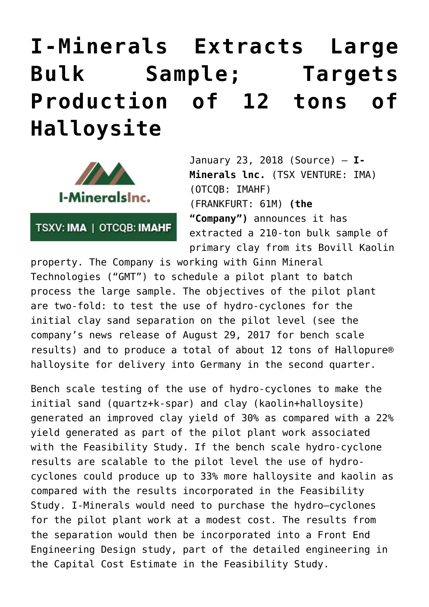## **[I-Minerals Extracts Large](https://investorintel.com/markets/technology-metals/technology-metals-news/minerals-extracts-large-bulk-sample-targets-production-12-tons-halloysite/) [Bulk Sample; Targets](https://investorintel.com/markets/technology-metals/technology-metals-news/minerals-extracts-large-bulk-sample-targets-production-12-tons-halloysite/) [Production of 12 tons of](https://investorintel.com/markets/technology-metals/technology-metals-news/minerals-extracts-large-bulk-sample-targets-production-12-tons-halloysite/) [Halloysite](https://investorintel.com/markets/technology-metals/technology-metals-news/minerals-extracts-large-bulk-sample-targets-production-12-tons-halloysite/)**



TSXV: IMA | OTCQB: IMAHF

January 23, 2018 [\(Source](https://investorintel.com/iintel-members/i-minerals-inc-2/)) — **I-Minerals lnc.** (TSX VENTURE: [IMA\)](http://www.marketwired.com/news_room/Stock?ticker=TSXV:IMA) (OTCQB: [IMAHF\)](http://www.marketwired.com/news_room/Stock?ticker=IMAHF) (FRANKFURT: 61M) **(the "Company")** announces it has extracted a 210-ton bulk sample of primary clay from its Bovill Kaolin

property. The Company is working with Ginn Mineral Technologies ("GMT") to schedule a pilot plant to batch process the large sample. The objectives of the pilot plant are two-fold: to test the use of hydro-cyclones for the initial clay sand separation on the pilot level (see the company's news release of August 29, 2017 for bench scale results) and to produce a total of about 12 tons of Hallopure® halloysite for delivery into Germany in the second quarter.

Bench scale testing of the use of hydro-cyclones to make the initial sand (quartz+k-spar) and clay (kaolin+halloysite) generated an improved clay yield of 30% as compared with a 22% yield generated as part of the pilot plant work associated with the Feasibility Study. If the bench scale hydro-cyclone results are scalable to the pilot level the use of hydrocyclones could produce up to 33% more halloysite and kaolin as compared with the results incorporated in the Feasibility Study. I-Minerals would need to purchase the hydro–cyclones for the pilot plant work at a modest cost. The results from the separation would then be incorporated into a Front End Engineering Design study, part of the detailed engineering in the Capital Cost Estimate in the Feasibility Study.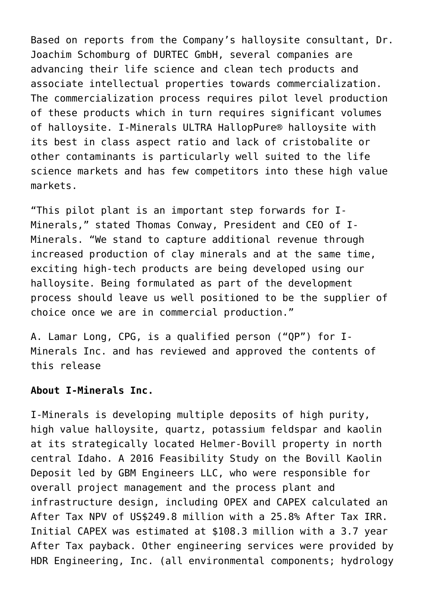Based on reports from the Company's halloysite consultant, Dr. Joachim Schomburg of DURTEC GmbH, several companies are advancing their life science and clean tech products and associate intellectual properties towards commercialization. The commercialization process requires pilot level production of these products which in turn requires significant volumes of halloysite. I-Minerals ULTRA HallopPure® halloysite with its best in class aspect ratio and lack of cristobalite or other contaminants is particularly well suited to the life science markets and has few competitors into these high value markets.

"This pilot plant is an important step forwards for I-Minerals," stated Thomas Conway, President and CEO of I-Minerals. "We stand to capture additional revenue through increased production of clay minerals and at the same time, exciting high-tech products are being developed using our halloysite. Being formulated as part of the development process should leave us well positioned to be the supplier of choice once we are in commercial production."

A. Lamar Long, CPG, is a qualified person ("QP") for I-Minerals Inc. and has reviewed and approved the contents of this release

## **About I-Minerals Inc.**

I-Minerals is developing multiple deposits of high purity, high value halloysite, quartz, potassium feldspar and kaolin at its strategically located Helmer-Bovill property in north central Idaho. A 2016 Feasibility Study on the Bovill Kaolin Deposit led by GBM Engineers LLC, who were responsible for overall project management and the process plant and infrastructure design, including OPEX and CAPEX calculated an After Tax NPV of US\$249.8 million with a 25.8% After Tax IRR. Initial CAPEX was estimated at \$108.3 million with a 3.7 year After Tax payback. Other engineering services were provided by HDR Engineering, Inc. (all environmental components; hydrology